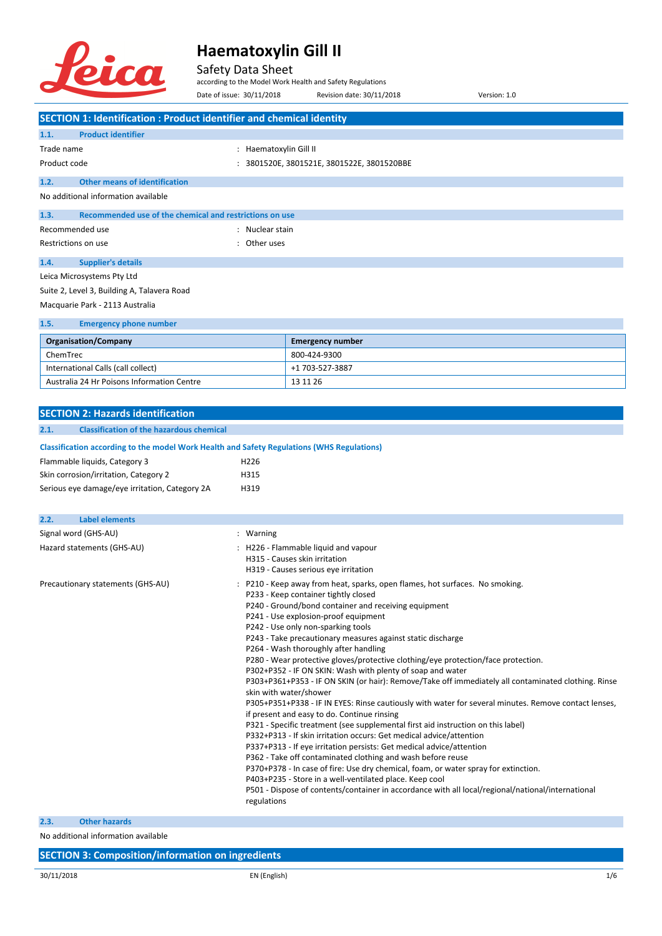

#### Safety Data Sheet

according to the Model Work Health and Safety Regulations Date of issue: 30/11/2018 Revision date: 30/11/2018 Version: 1.0

**SECTION 1: Identification : Product identifier and chemical identity 1.1. Product identifier** Trade name  $\qquad \qquad : \qquad$  Haematoxylin Gill II Product code : 3801520E, 3801521E, 3801522E, 3801520BBE **1.2. Other means of identification** No additional information available **1.3. Recommended use of the chemical and restrictions on use** Recommended use the state of the state of the Recommended use the state of the state of the state of the state Restrictions on use in the set of the set of the set of the set of the set of the set of the set of the set of the set of the set of the set of the set of the set of the set of the set of the set of the set of the set of t **1.4. Supplier's details** Leica Microsystems Pty Ltd Suite 2, Level 3, Building A, Talavera Road Macquarie Park - 2113 Australia **1.5. Emergency phone number Organisation/Company Emergency number** ChemTrec 800-424-9300 International Calls (call collect) +1 703-527-3887 Australia 24 Hr Poisons Information Centre 13 11 26 **SECTION 2: Hazards identification 2.1. Classification of the hazardous chemical Classification according to the model Work Health and Safety Regulations (WHS Regulations)** Flammable liquids, Category 3 H226 Skin corrosion/irritation, Category 2 
H315 Serious eye damage/eye irritation, Category 2A H319 **2.2. Label elements** Signal word (GHS-AU) : Warning Hazard statements (GHS-AU) : H226 - Flammable liquid and vapour H315 - Causes skin irritation H319 - Causes serious eye irritation Precautionary statements (GHS-AU) : P210 - Keep away from heat, sparks, open flames, hot surfaces. No smoking. P233 - Keep container tightly closed P240 - Ground/bond container and receiving equipment P241 - Use explosion-proof equipment P242 - Use only non-sparking tools P243 - Take precautionary measures against static discharge P264 - Wash thoroughly after handling

P280 - Wear protective gloves/protective clothing/eye protection/face protection.

P302+P352 - IF ON SKIN: Wash with plenty of soap and water

P303+P361+P353 - IF ON SKIN (or hair): Remove/Take off immediately all contaminated clothing. Rinse skin with water/shower

P305+P351+P338 - IF IN EYES: Rinse cautiously with water for several minutes. Remove contact lenses, if present and easy to do. Continue rinsing

- P321 Specific treatment (see supplemental first aid instruction on this label)
- P332+P313 If skin irritation occurs: Get medical advice/attention
- P337+P313 If eye irritation persists: Get medical advice/attention
- P362 Take off contaminated clothing and wash before reuse P370+P378 - In case of fire: Use dry chemical, foam, or water spray for extinction.
- 
- P403+P235 Store in a well-ventilated place. Keep cool

P501 - Dispose of contents/container in accordance with all local/regional/national/international regulations

**2.3. Other hazards**

No additional information available

**SECTION 3: Composition/information on ingredients**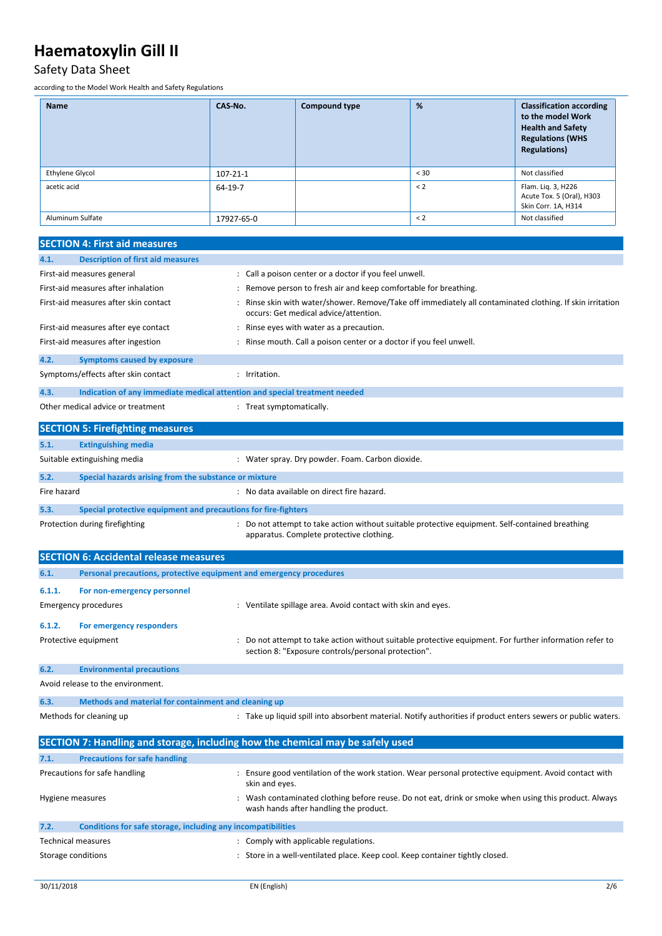### Safety Data Sheet

according to the Model Work Health and Safety Regulations

| <b>Name</b>      | CAS-No.        | <b>Compound type</b> | %    | <b>Classification according</b><br>to the model Work<br><b>Health and Safety</b><br><b>Regulations (WHS</b><br><b>Regulations)</b> |
|------------------|----------------|----------------------|------|------------------------------------------------------------------------------------------------------------------------------------|
| Ethylene Glycol  | $107 - 21 - 1$ |                      | < 30 | Not classified                                                                                                                     |
| acetic acid      | 64-19-7        |                      | < 2  | Flam. Lig. 3, H226<br>Acute Tox. 5 (Oral), H303<br>Skin Corr. 1A, H314                                                             |
| Aluminum Sulfate | 17927-65-0     |                      | < 2  | Not classified                                                                                                                     |

#### **SECTION 4: First aid measures**

|             | SECTION 4. FIISE diu Illedsules                                            |                                                                                                                                                              |
|-------------|----------------------------------------------------------------------------|--------------------------------------------------------------------------------------------------------------------------------------------------------------|
| 4.1.        | <b>Description of first aid measures</b>                                   |                                                                                                                                                              |
|             | First-aid measures general                                                 | : Call a poison center or a doctor if you feel unwell.                                                                                                       |
|             | First-aid measures after inhalation                                        | : Remove person to fresh air and keep comfortable for breathing.                                                                                             |
|             | First-aid measures after skin contact                                      | : Rinse skin with water/shower. Remove/Take off immediately all contaminated clothing. If skin irritation<br>occurs: Get medical advice/attention.           |
|             | First-aid measures after eye contact                                       | : Rinse eyes with water as a precaution.                                                                                                                     |
|             | First-aid measures after ingestion                                         | : Rinse mouth. Call a poison center or a doctor if you feel unwell.                                                                                          |
| 4.2.        | <b>Symptoms caused by exposure</b>                                         |                                                                                                                                                              |
|             | Symptoms/effects after skin contact                                        | : Irritation.                                                                                                                                                |
| 4.3.        | Indication of any immediate medical attention and special treatment needed |                                                                                                                                                              |
|             | Other medical advice or treatment                                          | : Treat symptomatically.                                                                                                                                     |
|             | <b>SECTION 5: Firefighting measures</b>                                    |                                                                                                                                                              |
| 5.1.        | <b>Extinguishing media</b>                                                 |                                                                                                                                                              |
|             | Suitable extinguishing media                                               | : Water spray. Dry powder. Foam. Carbon dioxide.                                                                                                             |
| 5.2.        | Special hazards arising from the substance or mixture                      |                                                                                                                                                              |
| Fire hazard |                                                                            | : No data available on direct fire hazard.                                                                                                                   |
| 5.3.        | Special protective equipment and precautions for fire-fighters             |                                                                                                                                                              |
|             | Protection during firefighting                                             | : Do not attempt to take action without suitable protective equipment. Self-contained breathing<br>apparatus. Complete protective clothing.                  |
|             | <b>SECTION 6: Accidental release measures</b>                              |                                                                                                                                                              |
| 6.1.        | Personal precautions, protective equipment and emergency procedures        |                                                                                                                                                              |
| 6.1.1.      | For non-emergency personnel                                                |                                                                                                                                                              |
|             | <b>Emergency procedures</b>                                                | : Ventilate spillage area. Avoid contact with skin and eyes.                                                                                                 |
| 6.1.2.      | For emergency responders                                                   |                                                                                                                                                              |
|             | Protective equipment                                                       | Do not attempt to take action without suitable protective equipment. For further information refer to<br>section 8: "Exposure controls/personal protection". |
| 6.2.        | <b>Environmental precautions</b>                                           |                                                                                                                                                              |
|             | Avoid release to the environment.                                          |                                                                                                                                                              |
| 6.3.        | Methods and material for containment and cleaning up                       |                                                                                                                                                              |
|             | Methods for cleaning up                                                    | : Take up liquid spill into absorbent material. Notify authorities if product enters sewers or public waters.                                                |
|             |                                                                            | SECTION 7: Handling and storage, including how the chemical may be safely used                                                                               |

| 7.1.               | <b>Precautions for safe handling</b>                         |                                                                                                                                               |
|--------------------|--------------------------------------------------------------|-----------------------------------------------------------------------------------------------------------------------------------------------|
|                    | Precautions for safe handling                                | Ensure good ventilation of the work station. Wear personal protective equipment. Avoid contact with<br>skin and eyes.                         |
| Hygiene measures   |                                                              | Wash contaminated clothing before reuse. Do not eat, drink or smoke when using this product. Always<br>wash hands after handling the product. |
| 7.2.               | Conditions for safe storage, including any incompatibilities |                                                                                                                                               |
|                    | <b>Technical measures</b>                                    | : Comply with applicable regulations.                                                                                                         |
| Storage conditions |                                                              | Store in a well-ventilated place. Keep cool. Keep container tightly closed.                                                                   |
|                    |                                                              |                                                                                                                                               |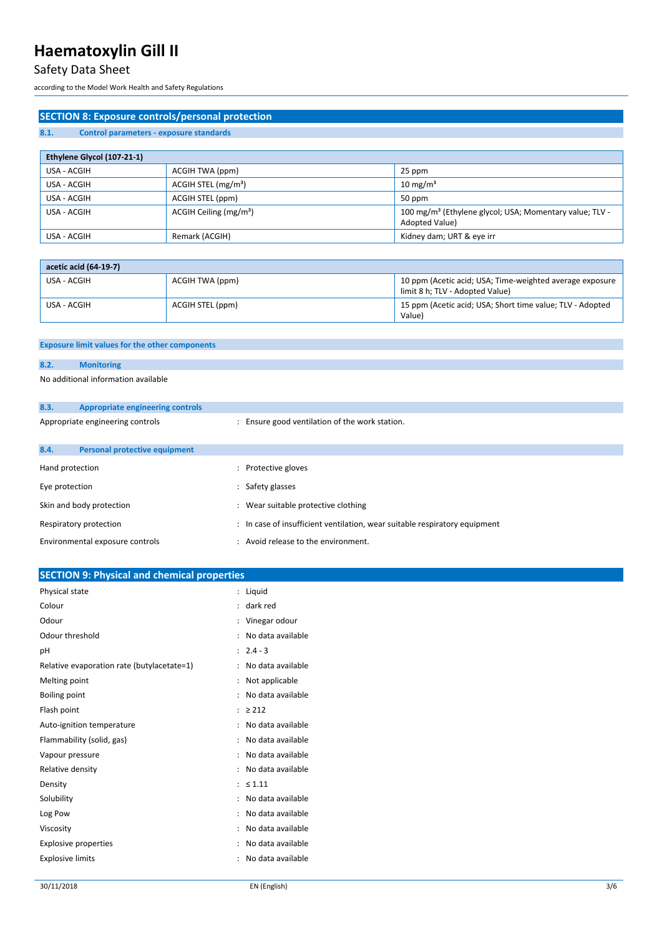### Safety Data Sheet

according to the Model Work Health and Safety Regulations

| <b>SECTION 8: Exposure controls/personal protection</b> |                                                                            |                                                                                             |
|---------------------------------------------------------|----------------------------------------------------------------------------|---------------------------------------------------------------------------------------------|
| 8.1.<br>Control parameters - exposure standards         |                                                                            |                                                                                             |
|                                                         |                                                                            |                                                                                             |
| Ethylene Glycol (107-21-1)                              |                                                                            |                                                                                             |
| USA - ACGIH                                             | ACGIH TWA (ppm)                                                            | 25 ppm                                                                                      |
| USA - ACGIH                                             | ACGIH STEL (mg/m <sup>3</sup> )                                            | $10 \text{ mg/m}^3$                                                                         |
| USA - ACGIH                                             | ACGIH STEL (ppm)                                                           | 50 ppm                                                                                      |
| USA - ACGIH                                             | ACGIH Ceiling (mg/m <sup>3</sup> )                                         | 100 mg/m <sup>3</sup> (Ethylene glycol; USA; Momentary value; TLV -<br>Adopted Value)       |
| USA - ACGIH                                             | Remark (ACGIH)                                                             | Kidney dam; URT & eye irr                                                                   |
|                                                         |                                                                            |                                                                                             |
| acetic acid (64-19-7)                                   |                                                                            |                                                                                             |
| USA - ACGIH                                             | ACGIH TWA (ppm)                                                            | 10 ppm (Acetic acid; USA; Time-weighted average exposure<br>limit 8 h; TLV - Adopted Value) |
| USA - ACGIH                                             | ACGIH STEL (ppm)                                                           | 15 ppm (Acetic acid; USA; Short time value; TLV - Adopted<br>Value)                         |
|                                                         |                                                                            |                                                                                             |
| <b>Exposure limit values for the other components</b>   |                                                                            |                                                                                             |
| 8.2.<br><b>Monitoring</b>                               |                                                                            |                                                                                             |
| No additional information available                     |                                                                            |                                                                                             |
|                                                         |                                                                            |                                                                                             |
| 8.3.<br><b>Appropriate engineering controls</b>         |                                                                            |                                                                                             |
| Appropriate engineering controls                        | : Ensure good ventilation of the work station.                             |                                                                                             |
|                                                         |                                                                            |                                                                                             |
| 8.4.<br><b>Personal protective equipment</b>            |                                                                            |                                                                                             |
| Hand protection                                         | : Protective gloves                                                        |                                                                                             |
| Eye protection                                          | : Safety glasses                                                           |                                                                                             |
| Skin and body protection                                | : Wear suitable protective clothing                                        |                                                                                             |
| Respiratory protection                                  | : In case of insufficient ventilation, wear suitable respiratory equipment |                                                                                             |
| Environmental exposure controls                         | : Avoid release to the environment.                                        |                                                                                             |
| <b>SECTION 9: Physical and chemical properties</b>      |                                                                            |                                                                                             |
| Physical state                                          | : Liquid                                                                   |                                                                                             |

| Colour                                     | dark red<br>$\ddot{\cdot}$          |
|--------------------------------------------|-------------------------------------|
| Odour                                      | Vinegar odour<br>$\ddot{\cdot}$     |
| Odour threshold                            | No data available<br>$\ddot{\cdot}$ |
| рH                                         | $2.4 - 3$<br>$\ddot{\phantom{a}}$   |
| Relative evaporation rate (butylacetate=1) | No data available<br>$\ddot{\cdot}$ |
| Melting point                              | Not applicable<br>$\ddot{\cdot}$    |
| <b>Boiling point</b>                       | No data available                   |
| Flash point                                | $\geq 212$<br>÷.                    |
| Auto-ignition temperature                  | No data available<br>$\ddot{\cdot}$ |
| Flammability (solid, gas)                  | No data available<br>$\ddot{\cdot}$ |
| Vapour pressure                            | No data available<br>$\ddot{\cdot}$ |
| Relative density                           | No data available                   |
| Density                                    | $\leq 1.11$<br>÷                    |
| Solubility                                 | No data available                   |
| Log Pow                                    | No data available                   |
| Viscosity                                  | No data available                   |
| <b>Explosive properties</b>                | No data available                   |
| <b>Explosive limits</b>                    | No data available                   |
|                                            |                                     |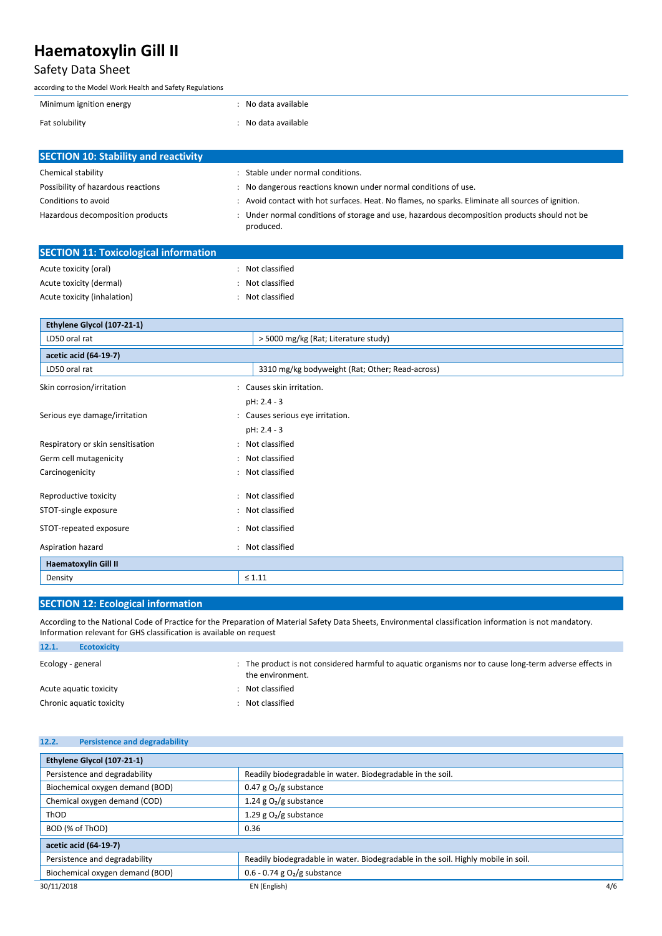### Safety Data Sheet

| according to the Model Work Health and Safety Regulations |                     |
|-----------------------------------------------------------|---------------------|
| Minimum ignition energy                                   | : No data available |
| Fat solubility                                            | No data available   |
|                                                           |                     |
| <b>SECTION 10: Stability and reactivity</b>               |                     |

| <b>PULCTION ID. STADING AND LEACHVILY</b> |                                                                                                           |
|-------------------------------------------|-----------------------------------------------------------------------------------------------------------|
| Chemical stability                        | Stable under normal conditions.                                                                           |
| Possibility of hazardous reactions        | No dangerous reactions known under normal conditions of use.                                              |
| Conditions to avoid                       | : Avoid contact with hot surfaces. Heat. No flames, no sparks. Eliminate all sources of ignition.         |
| Hazardous decomposition products          | : Under normal conditions of storage and use, hazardous decomposition products should not be<br>produced. |

| <b>SECTION 11: Toxicological information</b> |                |  |
|----------------------------------------------|----------------|--|
| Acute toxicity (oral)                        | Not classified |  |
| Acute toxicity (dermal)                      | Not classified |  |
| Acute toxicity (inhalation)                  | Not classified |  |

| Ethylene Glycol (107-21-1)                          |                                                 |
|-----------------------------------------------------|-------------------------------------------------|
| LD50 oral rat                                       | > 5000 mg/kg (Rat; Literature study)            |
| acetic acid (64-19-7)                               |                                                 |
| LD50 oral rat                                       | 3310 mg/kg bodyweight (Rat; Other; Read-across) |
| Skin corrosion/irritation<br>$\ddot{\phantom{a}}$   | Causes skin irritation.                         |
|                                                     | pH: 2.4 - 3                                     |
| Serious eye damage/irritation                       | : Causes serious eye irritation.                |
|                                                     | pH: 2.4 - 3                                     |
| Respiratory or skin sensitisation<br>$\ddot{\cdot}$ | Not classified                                  |
| Germ cell mutagenicity                              | : Not classified                                |
| Carcinogenicity                                     | : Not classified                                |
| Reproductive toxicity                               | : Not classified                                |
| STOT-single exposure                                | : Not classified                                |
| STOT-repeated exposure                              | : Not classified                                |
| Aspiration hazard<br>÷                              | Not classified                                  |
| <b>Haematoxylin Gill II</b>                         |                                                 |
| Density                                             | $\leq 1.11$                                     |

#### **SECTION 12: Ecological information**

According to the National Code of Practice for the Preparation of Material Safety Data Sheets, Environmental classification information is not mandatory. Information relevant for GHS classification is available on request

| 12.1.             | <b>Ecotoxicity</b>       |                                                                                                                            |
|-------------------|--------------------------|----------------------------------------------------------------------------------------------------------------------------|
| Ecology - general |                          | : The product is not considered harmful to aquatic organisms nor to cause long-term adverse effects in<br>the environment. |
|                   | Acute aguatic toxicity   | : Not classified                                                                                                           |
|                   | Chronic aquatic toxicity | : Not classified                                                                                                           |

#### **12.2. Persistence and degradability**

| Ethylene Glycol (107-21-1)      |                                                                                   |     |
|---------------------------------|-----------------------------------------------------------------------------------|-----|
| Persistence and degradability   | Readily biodegradable in water. Biodegradable in the soil.                        |     |
| Biochemical oxygen demand (BOD) | 0.47 g $O_2/g$ substance                                                          |     |
| Chemical oxygen demand (COD)    | 1.24 g $O_2/g$ substance                                                          |     |
| ThOD                            | 1.29 g $O_2/g$ substance                                                          |     |
| BOD (% of ThOD)                 | 0.36                                                                              |     |
| acetic acid (64-19-7)           |                                                                                   |     |
| Persistence and degradability   | Readily biodegradable in water. Biodegradable in the soil. Highly mobile in soil. |     |
| Biochemical oxygen demand (BOD) | $0.6 - 0.74$ g $O2$ /g substance                                                  |     |
| 30/11/2018                      | EN (English)                                                                      | 4/6 |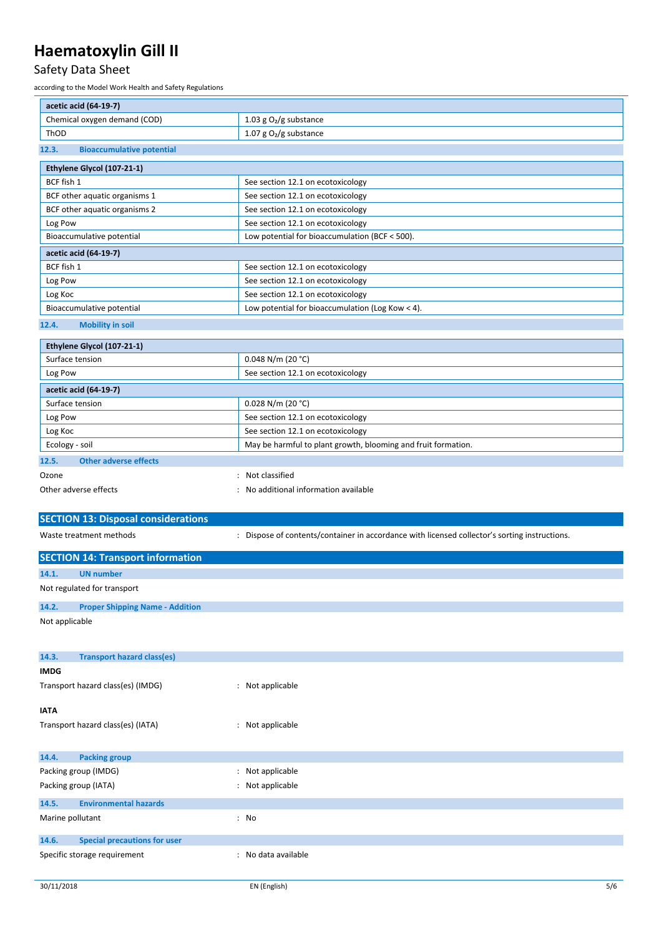### Safety Data Sheet

according to the Model Work Health and Safety Regulations

| acetic acid (64-19-7)                           |                                                                                               |
|-------------------------------------------------|-----------------------------------------------------------------------------------------------|
| Chemical oxygen demand (COD)                    | 1.03 g $O_2/g$ substance                                                                      |
| ThOD                                            | 1.07 g $O_2/g$ substance                                                                      |
| <b>Bioaccumulative potential</b><br>12.3.       |                                                                                               |
| Ethylene Glycol (107-21-1)                      |                                                                                               |
| BCF fish 1                                      | See section 12.1 on ecotoxicology                                                             |
| BCF other aquatic organisms 1                   | See section 12.1 on ecotoxicology                                                             |
| BCF other aquatic organisms 2                   | See section 12.1 on ecotoxicology                                                             |
| Log Pow                                         | See section 12.1 on ecotoxicology                                                             |
| Bioaccumulative potential                       | Low potential for bioaccumulation (BCF < 500).                                                |
| acetic acid (64-19-7)                           |                                                                                               |
| BCF fish 1                                      | See section 12.1 on ecotoxicology                                                             |
| Log Pow                                         | See section 12.1 on ecotoxicology                                                             |
| Log Koc                                         | See section 12.1 on ecotoxicology                                                             |
| Bioaccumulative potential                       | Low potential for bioaccumulation (Log Kow $<$ 4).                                            |
| 12.4.<br><b>Mobility in soil</b>                |                                                                                               |
|                                                 |                                                                                               |
| Ethylene Glycol (107-21-1)                      |                                                                                               |
| Surface tension                                 | $0.048$ N/m (20 °C)                                                                           |
| Log Pow                                         | See section 12.1 on ecotoxicology                                                             |
| acetic acid (64-19-7)                           |                                                                                               |
| Surface tension                                 | $0.028$ N/m (20 °C)                                                                           |
| Log Pow                                         | See section 12.1 on ecotoxicology                                                             |
| Log Koc                                         | See section 12.1 on ecotoxicology                                                             |
| Ecology - soil                                  | May be harmful to plant growth, blooming and fruit formation.                                 |
| <b>Other adverse effects</b><br>12.5.           |                                                                                               |
| Ozone                                           | Not classified                                                                                |
|                                                 |                                                                                               |
| Other adverse effects                           | No additional information available                                                           |
|                                                 |                                                                                               |
| <b>SECTION 13: Disposal considerations</b>      |                                                                                               |
| Waste treatment methods                         | : Dispose of contents/container in accordance with licensed collector's sorting instructions. |
|                                                 |                                                                                               |
| <b>SECTION 14: Transport information</b>        |                                                                                               |
| <b>UN number</b><br>14.1.                       |                                                                                               |
| Not regulated for transport                     |                                                                                               |
| 14.2.<br><b>Proper Shipping Name - Addition</b> |                                                                                               |
| Not applicable                                  |                                                                                               |
|                                                 |                                                                                               |
| 14.3.<br><b>Transport hazard class(es)</b>      |                                                                                               |
| <b>IMDG</b>                                     |                                                                                               |
| Transport hazard class(es) (IMDG)               | : Not applicable                                                                              |
|                                                 |                                                                                               |
| ΙΛΤΑ                                            |                                                                                               |
| Transport hazard class(es) (IATA)               | : Not applicable                                                                              |
|                                                 |                                                                                               |
| <b>Packing group</b><br>14.4.                   |                                                                                               |
| Packing group (IMDG)                            | : Not applicable                                                                              |
| Packing group (IATA)                            | : Not applicable                                                                              |
| 14.5.<br><b>Environmental hazards</b>           |                                                                                               |
| Marine pollutant                                | : No                                                                                          |
|                                                 |                                                                                               |
| <b>Special precautions for user</b><br>14.6.    |                                                                                               |
| Specific storage requirement                    | : No data available                                                                           |